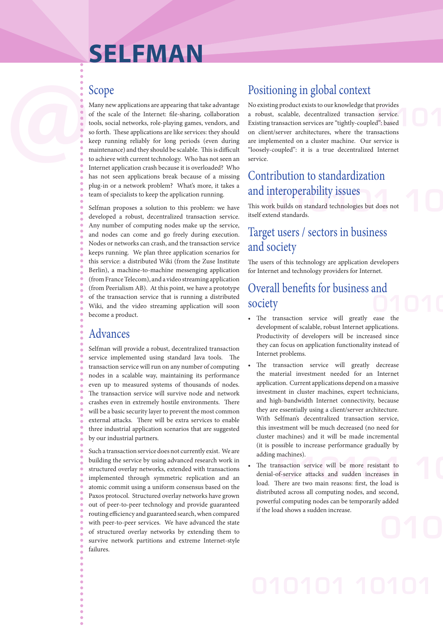# **SELFMAN**

**12 a 3 cope c**<br> **13 a controlling properties experiment experimentally dependent of the scale of the Internet: file-sharing, collaboration a robust, scalable, decentralized transaction service.<br>
<b>14 a** Scope Positioning in global context<br>Many new applications are appearing that take advantage<br>of the scale of the Internet: file-sharing, collaboration a robust, scalable, decentralized transaction service.<br>tools, social net Many new applications are appearing that take advantage of the scale of the Internet: file-sharing, collaboration tools, social networks, role-playing games, vendors, and so forth. These applications are like services: they should keep running reliably for long periods (even during maintenance) and they should be scalable. This is difficult to achieve with current technology. Who has not seen an Internet application crash because it is overloaded? Who has not seen applications break because of a missing plug-in or a network problem? What's more, it takes a team of specialists to keep the application running.

Selfman proposes a solution to this problem: we have developed a robust, decentralized transaction service. Any number of computing nodes make up the service, and nodes can come and go freely during execution. Nodes or networks can crash, and the transaction service keeps running. We plan three application scenarios for this service: a distributed Wiki (from the Zuse Institute Berlin), a machine-to-machine messenging application (from France Telecom), and a video streaming application (from Peerialism AB). At this point, we have a prototype of the transaction service that is running a distributed Wiki, and the video streaming application will soon become a product.

### Advances

Selfman will provide a robust, decentralized transaction service implemented using standard Java tools. The transaction service will run on any number of computing nodes in a scalable way, maintaining its performance even up to measured systems of thousands of nodes. The transaction service will survive node and network crashes even in extremely hostile environments. There will be a basic security layer to prevent the most common external attacks. There will be extra services to enable three industrial application scenarios that are suggested by our industrial partners.

Such a transaction service does not currently exist. We are building the service by using advanced research work in structured overlay networks, extended with transactions implemented through symmetric replication and an atomic commit using a uniform consensus based on the Paxos protocol. Structured overlay networks have grown out of peer-to-peer technology and provide guaranteed routing efficiency and guaranteed search, when compared with peer-to-peer services. We have advanced the state of structured overlay networks by extending them to survive network partitions and extreme Internet-style failures.

# Positioning in global context

No existing product exists to our knowledge that provides a robust, scalable, decentralized transaction service. Existing transaction services are "tightly-coupled": based on client/server architectures, where the transactions are implemented on a cluster machine. Our service is "loosely-coupled": it is a true decentralized Internet service.

## Contribution to standardization and interoperability issues

**010101 10** This work builds on standard technologies but does not itself extend standards.

### Target users / sectors in business and society

The users of this technology are application developers for Internet and technology providers for Internet.

### **01010** Overall benefits for business and society

- The transaction service will greatly ease the development of scalable, robust Internet applications. Productivity of developers will be increased since they can focus on application functionality instead of Internet problems.
- The transaction service will greatly decrease the material investment needed for an Internet application. Current applications depend on a massive investment in cluster machines, expert technicians, and high-bandwidth Internet connectivity, because they are essentially using a client/server architecture. With Selfman's decentralized transaction service, this investment will be much decreased (no need for cluster machines) and it will be made incremental (it is possible to increase performance gradually by adding machines).
- msaction service will be more resistant to<br>of-service attacks and sudden increases in<br>here are two main reasons: first, the load is • The transaction service will be more resistant to denial-of-service attacks and sudden increases in load. There are two main reasons: first, the load is distributed across all computing nodes, and second, powerful computing nodes can be temporarily added if the load shows a sudden increase.